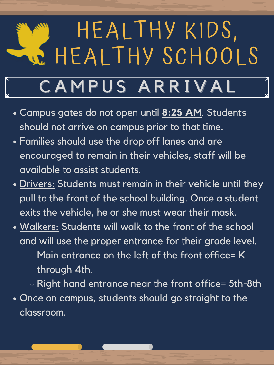## HEALTHY KIDS, HEALTHY SCHOOLS CAMPUS ARRIVAL

- Campus gates do not open until **8:25 AM**. Students should not arrive on campus prior to that time.
- Families should use the drop off lanes and are encouraged to remain in their vehicles; staff will be available to assist students.
- Drivers: Students must remain in their vehicle until they
	- pull to the front of the school building. Once a student exits the vehicle, he or she must wear their mask.
- <u>Walkers:</u> Students will walk to the front of the school and will use the proper entrance for their grade level.
	- $\circ$  Main entrance on the left of the front office= K  $\circ$ through 4th.
- Right hand entrance near the front office= 5th-8th • Once on campus, students should go straight to the classroom.